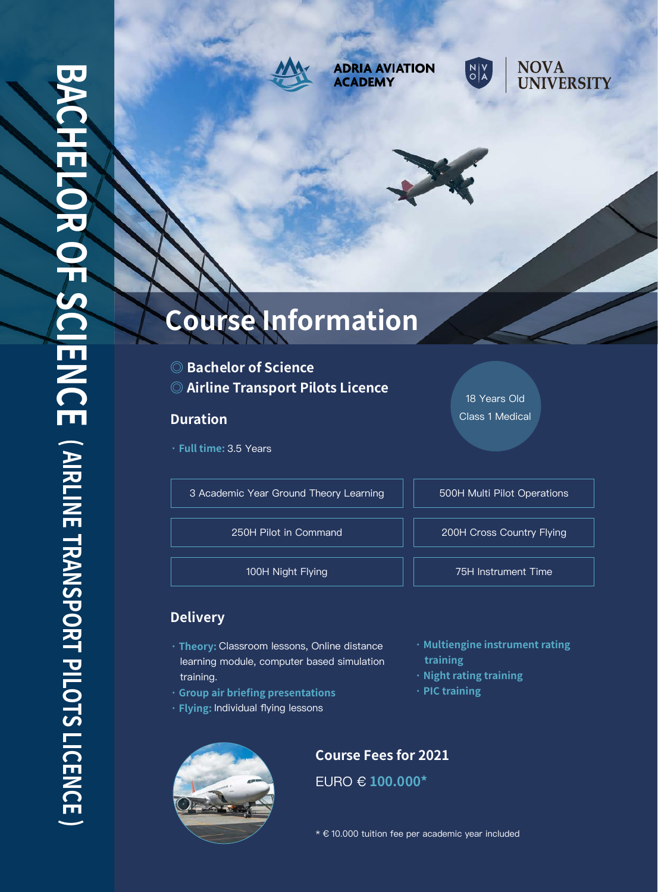

**ADRIA AVIATION ACADEMY** 





# **Course Information**

- **◎ Bachelor of Science**
- **◎ Airline Transport Pilots Licence**

### **Duration**

**· Full time:** 3.5 Years

3 Academic Year Ground Theory Learning | | 500H Multi Pilot Operations

18 Years Old Class 1 Medical

250H Pilot in Command 200H Cross Country Flying

100H Night Flying **100H** Night Flying

## **Delivery**

- **· Theory:** Classroom lessons, Online distance learning module, computer based simulation training.
- **· Group air briefing presentations**
- **· Flying:** Individual flying lessons
- **· Multiengine instrument rating training**
- **· Night rating training**
- **· PIC training**



## **Course Fees for 2021**

EURO € **100.000\*** 

\* € 10.000 tuition fee per academic year included